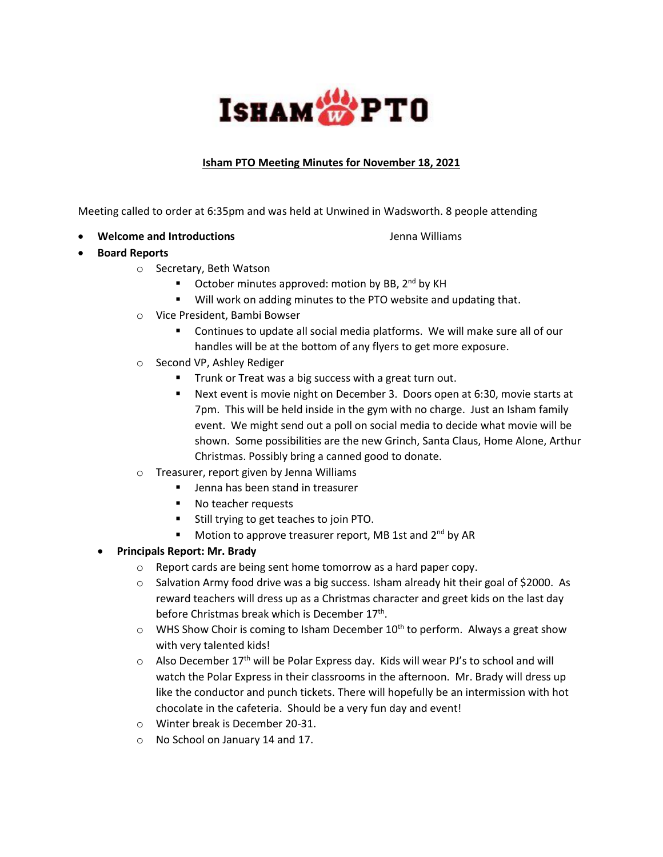## ISHAM<sup>th</sup>PTO

## **Isham PTO Meeting Minutes for November 18, 2021**

Meeting called to order at 6:35pm and was held at Unwined in Wadsworth. 8 people attending

**Welcome and Introductions** The Communications of the United States of the Milliams

- **Board Reports**
	- o Secretary, Beth Watson
		- October minutes approved: motion by BB, 2<sup>nd</sup> by KH
		- **Will work on adding minutes to the PTO website and updating that.**
	- o Vice President, Bambi Bowser
		- Continues to update all social media platforms. We will make sure all of our handles will be at the bottom of any flyers to get more exposure.
	- o Second VP, Ashley Rediger
		- **Trunk or Treat was a big success with a great turn out.**
		- Next event is movie night on December 3. Doors open at 6:30, movie starts at 7pm. This will be held inside in the gym with no charge. Just an Isham family event. We might send out a poll on social media to decide what movie will be shown. Some possibilities are the new Grinch, Santa Claus, Home Alone, Arthur Christmas. Possibly bring a canned good to donate.
	- o Treasurer, report given by Jenna Williams
		- **IDED** Jenna has been stand in treasurer
		- No teacher requests
		- Still trying to get teaches to join PTO.
		- Motion to approve treasurer report, MB 1st and 2<sup>nd</sup> by AR
	- **Principals Report: Mr. Brady**
		- o Report cards are being sent home tomorrow as a hard paper copy.
		- o Salvation Army food drive was a big success. Isham already hit their goal of \$2000. As reward teachers will dress up as a Christmas character and greet kids on the last day before Christmas break which is December 17<sup>th</sup>.
		- $\circ$  WHS Show Choir is coming to Isham December 10<sup>th</sup> to perform. Always a great show with very talented kids!
		- $\circ$  Also December 17<sup>th</sup> will be Polar Express day. Kids will wear PJ's to school and will watch the Polar Express in their classrooms in the afternoon. Mr. Brady will dress up like the conductor and punch tickets. There will hopefully be an intermission with hot chocolate in the cafeteria. Should be a very fun day and event!
		- o Winter break is December 20-31.
		- o No School on January 14 and 17.